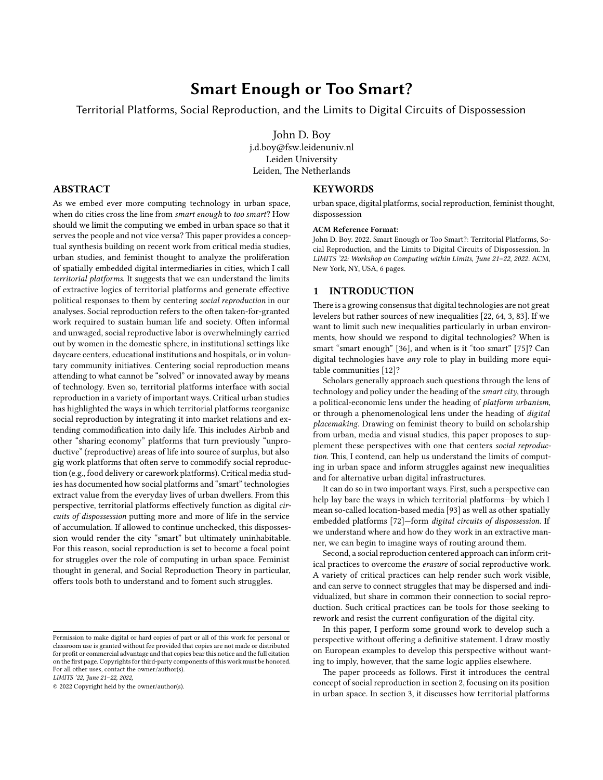# **Smart Enough or Too Smart?**

Territorial Platforms, Social Reproduction, and the Limits to Digital Circuits of Dispossession

John D. Boy j.d.boy@fsw.leidenuniv.nl Leiden University Leiden, The Netherlands

# **ABSTRACT**

As we embed ever more computing technology in urban space, when do cities cross the line from *smart enough* to *too smart*? How should we limit the computing we embed in urban space so that it serves the people and not vice versa? This paper provides a conceptual synthesis building on recent work from critical media studies, urban studies, and feminist thought to analyze the proliferation of spatially embedded digital intermediaries in cities, which I call *territorial platforms*. It suggests that we can understand the limits of extractive logics of territorial platforms and generate effective political responses to them by centering *social reproduction* in our analyses. Social reproduction refers to the often taken-for-granted work required to sustain human life and society. Often informal and unwaged, social reproductive labor is overwhelmingly carried out by women in the domestic sphere, in institutional settings like daycare centers, educational institutions and hospitals, or in voluntary community initiatives. Centering social reproduction means attending to what cannot be "solved" or innovated away by means of technology. Even so, territorial platforms interface with social reproduction in a variety of important ways. Critical urban studies has highlighted the ways in which territorial platforms reorganize social reproduction by integrating it into market relations and extending commodification into daily life. This includes Airbnb and other "sharing economy" platforms that turn previously "unproductive" (reproductive) areas of life into source of surplus, but also gig work platforms that often serve to commodify social reproduction (e.g., food delivery or carework platforms). Critical media studies has documented how social platforms and "smart" technologies extract value from the everyday lives of urban dwellers. From this perspective, territorial platforms effectively function as digital *circuits of dispossession* putting more and more of life in the service of accumulation. If allowed to continue unchecked, this dispossession would render the city "smart" but ultimately uninhabitable. For this reason, social reproduction is set to become a focal point for struggles over the role of computing in urban space. Feminist thought in general, and Social Reproduction Theory in particular, offers tools both to understand and to foment such struggles.

*LIMITS '22, June 21–22, 2022,*

#### **KEYWORDS**

urban space, digital platforms, social reproduction, feminist thought, dispossession

#### **ACM Reference Format:**

John D. Boy. 2022. Smart Enough or Too Smart?: Territorial Platforms, Social Reproduction, and the Limits to Digital Circuits of Dispossession. In *LIMITS '22: Workshop on Computing within Limits, June 21–22, 2022.* ACM, New York, NY, USA, [6](#page-5-0) pages.

## **1 INTRODUCTION**

There is a growing consensus that digital technologies are not great levelers but rather sources of new inequalities [\[22](#page-4-0), [64,](#page-4-1) [3](#page-3-0), [83\]](#page-5-1). If we want to limit such new inequalities particularly in urban environments, how should we respond to digital technologies? When is smart "smart enough" [\[36](#page-4-2)], and when is it "too smart" [\[75\]](#page-4-3)? Can digital technologies have *any* role to play in building more equitable communities[[12](#page-3-1)]?

Scholars generally approach such questions through the lens of technology and policy under the heading of the *smart city*, through a political-economic lens under the heading of *platform urbanism*, or through a phenomenological lens under the heading of *digital placemaking*. Drawing on feminist theory to build on scholarship from urban, media and visual studies, this paper proposes to supplement these perspectives with one that centers *social reproduction*. This, I contend, can help us understand the limits of computing in urban space and inform struggles against new inequalities and for alternative urban digital infrastructures.

It can do so in two important ways. First, such a perspective can help lay bare the ways in which territorial platforms—by which I mean so-called location-based media [\[93\]](#page-5-2) as well as other spatially embedded platforms [\[72\]](#page-4-4)—form *digital circuits of dispossession*. If we understand where and how do they work in an extractive manner, we can begin to imagine ways of routing around them.

Second, a social reproduction centered approach can inform critical practices to overcome the *erasure* of social reproductive work. A variety of critical practices can help render such work visible, and can serve to connect struggles that may be dispersed and individualized, but share in common their connection to social reproduction. Such critical practices can be tools for those seeking to rework and resist the current configuration of the digital city.

In this paper, I perform some ground work to develop such a perspective without offering a definitive statement. I draw mostly on European examples to develop this perspective without wanting to imply, however, that the same logic applies elsewhere.

The paper proceeds as follows. First it introduces the central concept of social reproduction in section [2](#page-1-0), focusing on its position in urban space. In section [3,](#page-1-1) it discusses how territorial platforms

Permission to make digital or hard copies of part or all of this work for personal or classroom use is granted without fee provided that copies are not made or distributed for profit or commercial advantage and that copies bear this notice and the full citation on the first page. Copyrights for third-party components of this work must be honored. For all other uses, contact the owner/author(s).

<sup>© 2022</sup> Copyright held by the owner/author(s).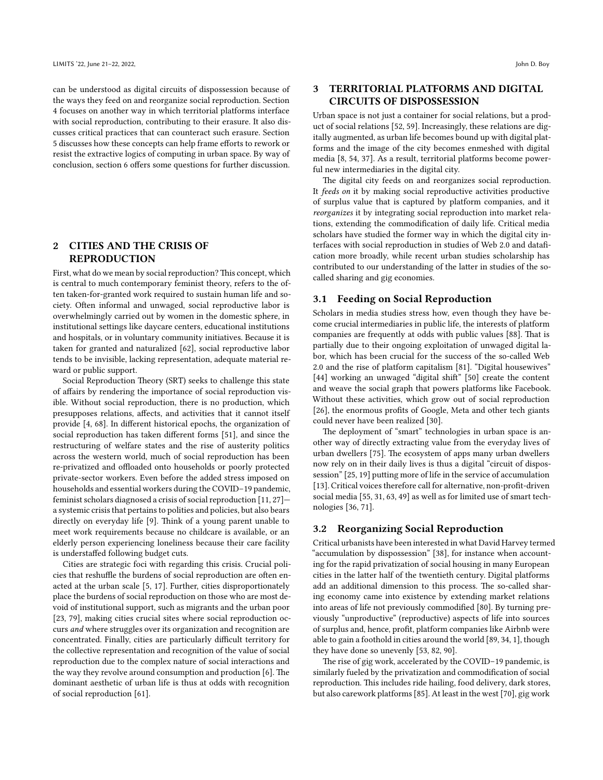can be understood as digital circuits of dispossession because of the ways they feed on and reorganize social reproduction. Section [4](#page-2-0) focuses on another way in which territorial platforms interface with social reproduction, contributing to their erasure. It also discusses critical practices that can counteract such erasure. Section [5](#page-2-1) discusses how these concepts can help frame efforts to rework or resist the extractive logics of computing in urban space. By way of conclusion, section [6](#page-3-2) offers some questions for further discussion.

## <span id="page-1-0"></span>**2 CITIES AND THE CRISIS OF REPRODUCTION**

First, what do we mean by social reproduction? This concept, which is central to much contemporary feminist theory, refers to the often taken-for-granted work required to sustain human life and society. Often informal and unwaged, social reproductive labor is overwhelmingly carried out by women in the domestic sphere, in institutional settings like daycare centers, educational institutions and hospitals, or in voluntary community initiatives. Because it is taken for granted and naturalized[[62\]](#page-4-5), social reproductive labor tends to be invisible, lacking representation, adequate material reward or public support.

Social Reproduction Theory (SRT) seeks to challenge this state of affairs by rendering the importance of social reproduction visible. Without social reproduction, there is no production, which presupposes relations, affects, and activities that it cannot itself provide [\[4,](#page-3-3) [68\]](#page-4-6). In different historical epochs, the organization of social reproduction has taken different forms [\[51](#page-4-7)], and since the restructuring of welfare states and the rise of austerity politics across the western world, much of social reproduction has been re-privatized and offloaded onto households or poorly protected private-sector workers. Even before the added stress imposed on households and essential workers during the COVID–19 pandemic, feminist scholars diagnosed a crisis of social reproduction [\[11](#page-3-4), [27](#page-4-8)] a systemic crisis that pertains to polities and policies, but also bears directly on everyday life[[9\]](#page-3-5). Think of a young parent unable to meet work requirements because no childcare is available, or an elderly person experiencing loneliness because their care facility is understaffed following budget cuts.

Cities are strategic foci with regarding this crisis. Crucial policies that reshuffle the burdens of social reproduction are often enacted at the urban scale[[5,](#page-3-6) [17](#page-3-7)]. Further, cities disproportionately place the burdens of social reproduction on those who are most devoid of institutional support, such as migrants and the urban poor [[23](#page-4-9), [79](#page-4-10)], making cities crucial sites where social reproduction occurs *and* where struggles over its organization and recognition are concentrated. Finally, cities are particularly difficult territory for the collective representation and recognition of the value of social reproduction due to the complex nature of social interactions and the way they revolve around consumption and production [\[6\]](#page-3-8). The dominant aesthetic of urban life is thus at odds with recognition of social reproduction [\[61\]](#page-4-11).

## <span id="page-1-1"></span>**3 TERRITORIAL PLATFORMS AND DIGITAL CIRCUITS OF DISPOSSESSION**

Urban space is not just a container for social relations, but a product of social relations[[52,](#page-4-12) [59](#page-4-13)]. Increasingly, these relations are digitally augmented, as urban life becomes bound up with digital platforms and the image of the city becomes enmeshed with digital media[[8](#page-3-9), [54,](#page-4-14) [37\]](#page-4-15). As a result, territorial platforms become powerful new intermediaries in the digital city.

The digital city feeds on and reorganizes social reproduction. It *feeds on* it by making social reproductive activities productive of surplus value that is captured by platform companies, and it *reorganizes* it by integrating social reproduction into market relations, extending the commodification of daily life. Critical media scholars have studied the former way in which the digital city interfaces with social reproduction in studies of Web 2.0 and datafication more broadly, while recent urban studies scholarship has contributed to our understanding of the latter in studies of the socalled sharing and gig economies.

### **3.1 Feeding on Social Reproduction**

Scholars in media studies stress how, even though they have become crucial intermediaries in public life, the interests of platform companies are frequently at odds with public values [\[88\]](#page-5-3). That is partially due to their ongoing exploitation of unwaged digital labor, which has been crucial for the success of the so-called Web 2.0 and the rise of platform capitalism[[81](#page-4-16)]. "Digital housewives" [\[44](#page-4-17)] working an unwaged "digital shift" [\[50](#page-4-18)] create the content and weave the social graph that powers platforms like Facebook. Without these activities, which grow out of social reproduction [\[26](#page-4-19)], the enormous profits of Google, Meta and other tech giants could never have been realized [\[30\]](#page-4-20).

The deployment of "smart" technologies in urban space is another way of directly extracting value from the everyday lives of urban dwellers [\[75\]](#page-4-3). The ecosystem of apps many urban dwellers now rely on in their daily lives is thus a digital "circuit of dispossession"[[25,](#page-4-21) [19](#page-4-22)] putting more of life in the service of accumulation [\[13](#page-3-10)]. Critical voices therefore call for alternative, non-profit-driven social media [\[55](#page-4-23), [31,](#page-4-24) [63,](#page-4-25) [49](#page-4-26)] as well as for limited use of smart technologies [\[36](#page-4-2), [71\]](#page-4-27).

## **3.2 Reorganizing Social Reproduction**

Critical urbanists have been interested in what David Harvey termed "accumulation by dispossession"[[38\]](#page-4-28), for instance when accounting for the rapid privatization of social housing in many European cities in the latter half of the twentieth century. Digital platforms add an additional dimension to this process. The so-called sharing economy came into existence by extending market relations into areas of life not previously commodified [\[80\]](#page-4-29). By turning previously "unproductive" (reproductive) aspects of life into sources of surplus and, hence, profit, platform companies like Airbnb were able to gain a foothold in cities around the world[[89](#page-5-4), [34](#page-4-30), [1](#page-3-11)], though they have done so unevenly[[53,](#page-4-31) [82,](#page-4-32) [90](#page-5-5)].

The rise of gig work, accelerated by the COVID–19 pandemic, is similarly fueled by the privatization and commodification of social reproduction. This includes ride hailing, food delivery, dark stores, but also carework platforms [\[85\]](#page-5-6). At least in the west [\[70\]](#page-4-33), gig work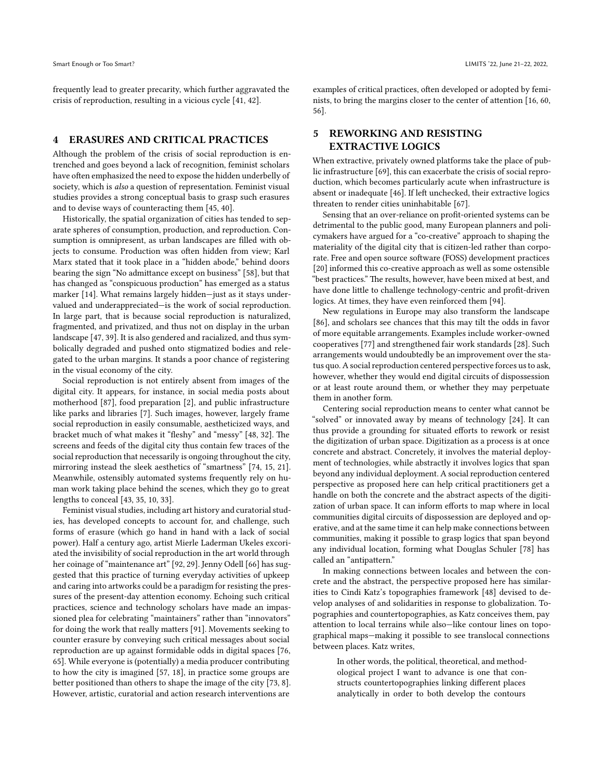frequently lead to greater precarity, which further aggravated the crisis of reproduction, resulting in a vicious cycle [\[41,](#page-4-34) [42](#page-4-35)].

## <span id="page-2-0"></span>**4 ERASURES AND CRITICAL PRACTICES**

Although the problem of the crisis of social reproduction is entrenched and goes beyond a lack of recognition, feminist scholars have often emphasized the need to expose the hidden underbelly of society, which is *also* a question of representation. Feminist visual studies provides a strong conceptual basis to grasp such erasures and to devise ways of counteracting them [\[45](#page-4-36), [40\]](#page-4-37).

Historically, the spatial organization of cities has tended to separate spheres of consumption, production, and reproduction. Consumption is omnipresent, as urban landscapes are filled with objects to consume. Production was often hidden from view; Karl Marx stated that it took place in a "hidden abode," behind doors bearing the sign "No admittance except on business"[[58](#page-4-38)], but that has changed as "conspicuous production" has emerged as a status marker[[14](#page-3-12)]. What remains largely hidden—just as it stays undervalued and underappreciated—is the work of social reproduction. In large part, that is because social reproduction is naturalized, fragmented, and privatized, and thus not on display in the urban landscape[[47](#page-4-39), [39](#page-4-40)]. It is also gendered and racialized, and thus symbolically degraded and pushed onto stigmatized bodies and relegated to the urban margins. It stands a poor chance of registering in the visual economy of the city.

Social reproduction is not entirely absent from images of the digital city. It appears, for instance, in social media posts about motherhood[[87](#page-5-7)], food preparation[[2\]](#page-3-13), and public infrastructure like parks and libraries [\[7\]](#page-3-14). Such images, however, largely frame social reproduction in easily consumable, aestheticized ways, and bracket much of what makes it "fleshy" and "messy" [\[48](#page-4-41), [32](#page-4-42)]. The screens and feeds of the digital city thus contain few traces of the social reproduction that necessarily is ongoing throughout the city, mirroring instead the sleek aesthetics of "smartness"[[74,](#page-4-43) [15](#page-3-15), [21](#page-4-44)]. Meanwhile, ostensibly automated systems frequently rely on human work taking place behind the scenes, which they go to great lengths to conceal [\[43,](#page-4-45) [35](#page-4-46), [10,](#page-3-16) [33](#page-4-47)].

Feminist visual studies, including art history and curatorial studies, has developed concepts to account for, and challenge, such forms of erasure (which go hand in hand with a lack of social power). Half a century ago, artist Mierle Laderman Ukeles excoriated the invisibility of social reproduction in the art world through her coinage of "maintenance art" [\[92,](#page-5-8) [29\]](#page-4-48). Jenny Odell [\[66\]](#page-4-49) has suggested that this practice of turning everyday activities of upkeep and caring into artworks could be a paradigm for resisting the pressures of the present-day attention economy. Echoing such critical practices, science and technology scholars have made an impassioned plea for celebrating "maintainers" rather than "innovators" for doing the work that really matters [\[91\]](#page-5-9). Movements seeking to counter erasure by conveying such critical messages about social reproduction are up against formidable odds in digital spaces[[76](#page-4-50), [65](#page-4-51)]. While everyone is (potentially) a media producer contributing to how the city is imagined[[57](#page-4-52), [18](#page-3-17)], in practice some groups are better positioned than others to shape the image of the city[[73](#page-4-53), [8](#page-3-9)]. However, artistic, curatorial and action research interventions are

examples of critical practices, often developed or adopted by feminists, to bring the margins closer to the center of attention [\[16,](#page-3-18) [60](#page-4-54), [56](#page-4-55)].

# <span id="page-2-1"></span>**5 REWORKING AND RESISTING EXTRACTIVE LOGICS**

When extractive, privately owned platforms take the place of public infrastructure [\[69\]](#page-4-56), this can exacerbate the crisis of social reproduction, which becomes particularly acute when infrastructure is absent or inadequate [\[46](#page-4-57)]. If left unchecked, their extractive logics threaten to render cities uninhabitable[[67](#page-4-58)].

Sensing that an over-reliance on profit-oriented systems can be detrimental to the public good, many European planners and policymakers have argued for a "co-creative" approach to shaping the materiality of the digital city that is citizen-led rather than corporate. Free and open source software (FOSS) development practices [\[20](#page-4-59)] informed this co-creative approach as well as some ostensible "best practices." The results, however, have been mixed at best, and have done little to challenge technology-centric and profit-driven logics. At times, they have even reinforced them [\[94](#page-5-10)].

New regulations in Europe may also transform the landscape [\[86](#page-5-11)], and scholars see chances that this may tilt the odds in favor of more equitable arrangements. Examples include worker-owned cooperatives [\[77\]](#page-4-60) and strengthened fair work standards[[28](#page-4-61)]. Such arrangements would undoubtedly be an improvement over the status quo. A social reproduction centered perspective forces us to ask, however, whether they would end digital circuits of dispossession or at least route around them, or whether they may perpetuate them in another form.

Centering social reproduction means to center what cannot be "solved" or innovated away by means of technology [\[24](#page-4-62)]. It can thus provide a grounding for situated efforts to rework or resist the digitization of urban space. Digitization as a process is at once concrete and abstract. Concretely, it involves the material deployment of technologies, while abstractly it involves logics that span beyond any individual deployment. A social reproduction centered perspective as proposed here can help critical practitioners get a handle on both the concrete and the abstract aspects of the digitization of urban space. It can inform efforts to map where in local communities digital circuits of dispossession are deployed and operative, and at the same time it can help make connections between communities, making it possible to grasp logics that span beyond any individual location, forming what Douglas Schuler [\[78](#page-4-63)] has called an "antipattern."

In making connections between locales and between the concrete and the abstract, the perspective proposed here has similarities to Cindi Katz's topographies framework[[48\]](#page-4-41) devised to develop analyses of and solidarities in response to globalization. Topographies and countertopographies, as Katz conceives them, pay attention to local terrains while also—like contour lines on topographical maps—making it possible to see translocal connections between places. Katz writes,

In other words, the political, theoretical, and methodological project I want to advance is one that constructs countertopographies linking different places analytically in order to both develop the contours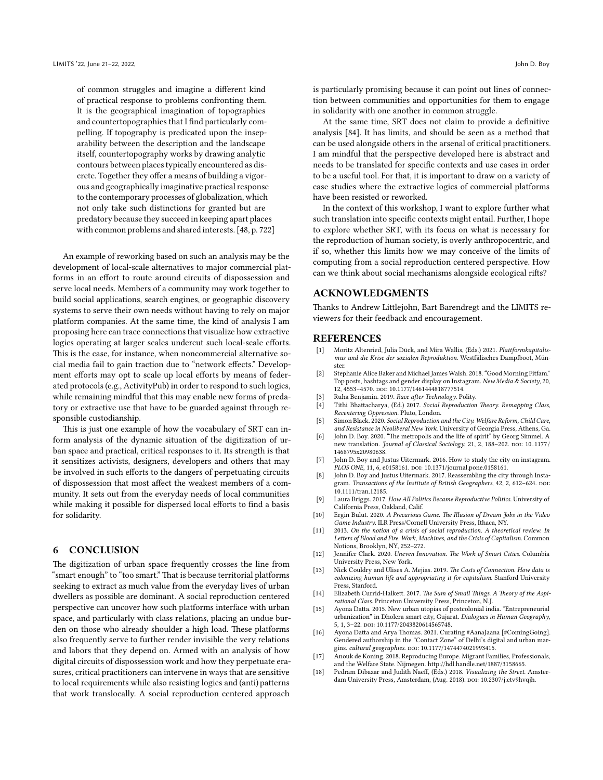of common struggles and imagine a different kind of practical response to problems confronting them. It is the geographical imagination of topographies and countertopographies that I find particularly compelling. If topography is predicated upon the inseparability between the description and the landscape itself, countertopography works by drawing analytic contours between places typically encountered as discrete. Together they offer a means of building a vigorous and geographically imaginative practical response to the contemporary processes of globalization, which not only take such distinctions for granted but are predatory because they succeed in keeping apart places with common problems and shared interests.[[48,](#page-4-41) p. 722]

An example of reworking based on such an analysis may be the development of local-scale alternatives to major commercial platforms in an effort to route around circuits of dispossession and serve local needs. Members of a community may work together to build social applications, search engines, or geographic discovery systems to serve their own needs without having to rely on major platform companies. At the same time, the kind of analysis I am proposing here can trace connections that visualize how extractive logics operating at larger scales undercut such local-scale efforts. This is the case, for instance, when noncommercial alternative social media fail to gain traction due to "network effects." Development efforts may opt to scale up local efforts by means of federated protocols (e.g., ActivityPub) in order to respond to such logics, while remaining mindful that this may enable new forms of predatory or extractive use that have to be guarded against through responsible custodianship.

This is just one example of how the vocabulary of SRT can inform analysis of the dynamic situation of the digitization of urban space and practical, critical responses to it. Its strength is that it sensitizes activists, designers, developers and others that may be involved in such efforts to the dangers of perpetuating circuits of dispossession that most affect the weakest members of a community. It sets out from the everyday needs of local communities while making it possible for dispersed local efforts to find a basis for solidarity.

## <span id="page-3-2"></span>**6 CONCLUSION**

The digitization of urban space frequently crosses the line from "smart enough" to "too smart." That is because territorial platforms seeking to extract as much value from the everyday lives of urban dwellers as possible are dominant. A social reproduction centered perspective can uncover how such platforms interface with urban space, and particularly with class relations, placing an undue burden on those who already shoulder a high load. These platforms also frequently serve to further render invisible the very relations and labors that they depend on. Armed with an analysis of how digital circuits of dispossession work and how they perpetuate erasures, critical practitioners can intervene in ways that are sensitive to local requirements while also resisting logics and (anti) patterns that work translocally. A social reproduction centered approach

is particularly promising because it can point out lines of connection between communities and opportunities for them to engage in solidarity with one another in common struggle.

At the same time, SRT does not claim to provide a definitive analysis[[84\]](#page-5-12). It has limits, and should be seen as a method that can be used alongside others in the arsenal of critical practitioners. I am mindful that the perspective developed here is abstract and needs to be translated for specific contexts and use cases in order to be a useful tool. For that, it is important to draw on a variety of case studies where the extractive logics of commercial platforms have been resisted or reworked.

In the context of this workshop, I want to explore further what such translation into specific contexts might entail. Further, I hope to explore whether SRT, with its focus on what is necessary for the reproduction of human society, is overly anthropocentric, and if so, whether this limits how we may conceive of the limits of computing from a social reproduction centered perspective. How can we think about social mechanisms alongside ecological rifts?

### **ACKNOWLEDGMENTS**

Thanks to Andrew Littlejohn, Bart Barendregt and the LIMITS reviewers for their feedback and encouragement.

#### **REFERENCES**

- <span id="page-3-11"></span>[1] Moritz Altenried, Julia Dück, and Mira Wallis, (Eds.) 2021. *Plattformkapitalismus und die Krise der sozialen Reproduktion*. Westfälisches Dampfboot, Münster.
- <span id="page-3-13"></span>[2] Stephanie Alice Baker and Michael James Walsh. 2018. "Good Morning Fitfam." Top posts, hashtags and gender display on Instagram. *New Media & Society*, 20, 12, 4553–4570. doi: [10.1177/1461444818777514.](https://doi.org/10.1177/1461444818777514)
- <span id="page-3-0"></span>[3] Ruha Benjamin. 2019. *Race after Technology*. Polity.
- <span id="page-3-3"></span>[4] Tithi Bhattacharya, (Ed.) 2017. *Social Reproduction Theory. Remapping Class, Recentering Oppression*. Pluto, London.
- <span id="page-3-6"></span>[5] Simon Black. 2020. *Social Reproduction and the City. Welfare Reform, Child Care, and Resistance in Neoliberal New York*. University of Georgia Press, Athens, Ga.
- <span id="page-3-8"></span>[6] John D. Boy. 2020. "The metropolis and the life of spirit" by Georg Simmel. A new translation. *Journal of Classical Sociology*, 21, 2, 188-202. DOI: 10.1177/ [1468795x20980638](https://doi.org/10.1177/1468795x20980638).
- <span id="page-3-14"></span>[7] John D. Boy and Justus Uitermark. 2016. How to study the city on instagram. *PLOS ONE*, 11, 6, e0158161. doi: [10.1371/journal.pone.0158161.](https://doi.org/10.1371/journal.pone.0158161)
- <span id="page-3-9"></span>John D. Boy and Justus Uitermark. 2017. Reassembling the city through Instagram. *Transactions of the Institute of British Geographers*, 42, 2, 612-624. DOI: [10.1111/tran.12185](https://doi.org/10.1111/tran.12185).
- <span id="page-3-5"></span>[9] Laura Briggs. 2017. *How All Politics Became Reproductive Politics*. University of California Press, Oakland, Calif.
- <span id="page-3-16"></span>[10] Ergin Bulut. 2020. *A Precarious Game. The Illusion of Dream Jobs in the Video Game Industry*. ILR Press/Cornell University Press, Ithaca, NY.
- <span id="page-3-4"></span>[11] 2013. *On the notion of a crisis of social reproduction. A theoretical review*. *In Letters of Blood and Fire. Work, Machines, and the Crisis of Capitalism*. Common Notions, Brooklyn, NY, 252–272.
- <span id="page-3-1"></span>[12] Jennifer Clark. 2020. *Uneven Innovation. The Work of Smart Cities*. Columbia University Press, New York.
- <span id="page-3-10"></span>[13] Nick Couldry and Ulises A. Mejias. 2019. *The Costs of Connection. How data is colonizing human life and appropriating it for capitalism*. Stanford University Press, Stanford.
- <span id="page-3-12"></span>[14] Elizabeth Currid-Halkett. 2017. *The Sum of Small Things. A Theory of the Aspirational Class*. Princeton University Press, Princeton, N.J.
- <span id="page-3-15"></span>[15] Ayona Datta. 2015. New urban utopias of postcolonial india. "Entrepreneurial urbanization" in Dholera smart city, Gujarat. *Dialogues in Human Geography*, 5, 1, 3-22. poi: [10.1177/2043820614565748.](https://doi.org/10.1177/2043820614565748)
- <span id="page-3-18"></span>[16] Ayona Datta and Arya Thomas. 2021. Curating #AanaJaana [#ComingGoing]. Gendered authorship in the "Contact Zone" of Delhi's digital and urban margins. *cultural geographies*. DOI: [10.1177/1474474021993415.](https://doi.org/10.1177/1474474021993415)
- <span id="page-3-7"></span>[17] Anouk de Koning. 2018. Reproducing Europe. Migrant Families, Professionals, and the Welfare State. Nijmegen. <http://hdl.handle.net/1887/3158665>.
- <span id="page-3-17"></span>[18] Pedram Dibazar and Judith Naeff, (Eds.) 2018. *Visualizing the Street*. Amster-dam University Press, Amsterdam, (Aug. 2018). DOI: [10.2307/j.ctv9hvqjh](https://doi.org/10.2307/j.ctv9hvqjh).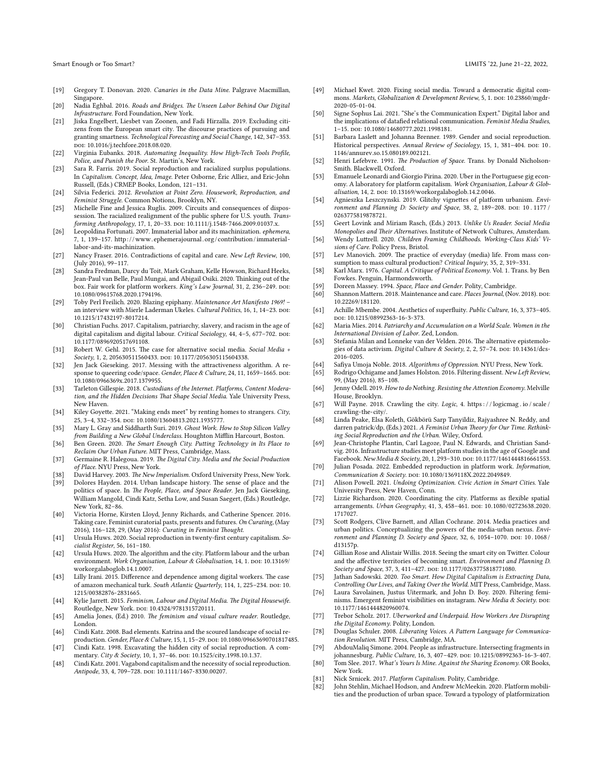- <span id="page-4-22"></span>[19] Gregory T. Donovan. 2020. *Canaries in the Data Mine*. Palgrave Macmillan, Singapore.
- <span id="page-4-59"></span>[20] Nadia Eghbal. 2016. *Roads and Bridges. The Unseen Labor Behind Our Digital Infrastructure*. Ford Foundation, New York.
- <span id="page-4-44"></span>[21] Jiska Engelbert, Liesbet van Zoonen, and Fadi Hirzalla. 2019. Excluding citizens from the European smart city. The discourse practices of pursuing and granting smartness. *Technological Forecasting and Social Change*, 142, 347–353. doi: [10.1016/j.techfore.2018.08.020.](https://doi.org/10.1016/j.techfore.2018.08.020)
- <span id="page-4-0"></span>[22] Virginia Eubanks. 2018. *Automating Inequality. How High-Tech Tools Profile, Police, and Punish the Poor*. St. Martin's, New York.
- <span id="page-4-9"></span>[23] Sara R. Farris. 2019. Social reproduction and racialized surplus populations. In *Capitalism. Concept, Idea, Image*. Peter Osborne, Éric Alliez, and Eric-John Russell, (Eds.) CRMEP Books, London, 121–131.
- <span id="page-4-62"></span>[24] Silvia Federici. 2012. *Revolution at Point Zero. Housework, Reproduction, and Feminist Struggle*. Common Notions, Brooklyn, NY.
- <span id="page-4-21"></span>[25] Michelle Fine and Jessica Ruglis. 2009. Circuits and consequences of dispossession. The racialized realignment of the public sphere for U.S. youth. *Transforming Anthropology*, 17, 1, 20–33. doi: [10.1111/j.1548-7466.2009.01037.x](https://doi.org/10.1111/j.1548-7466.2009.01037.x).
- <span id="page-4-19"></span>[26] Leopoldina Fortunati. 2007. Immaterial labor and its machinization. *ephemera*, 7, 1, 139–157. [http: / /www . ephemerajournal . org / contribution /immaterial](http://www.ephemerajournal.org/contribution/immaterial-labor-and-its-machinization)  [labor-and-its-machinization](http://www.ephemerajournal.org/contribution/immaterial-labor-and-its-machinization).
- <span id="page-4-8"></span>[27] Nancy Fraser. 2016. Contradictions of capital and care. *New Left Review*, 100, (July 2016), 99–117.
- <span id="page-4-61"></span>[28] Sandra Fredman, Darcy du Toit, Mark Graham, Kelle Howson, Richard Heeks, Jean-Paul van Belle, Paul Mungai, and Abigail Osiki. 2020. Thinking out of the box. Fair work for platform workers. *King's Law Journal*, 31, 2, 236-249. poi: [10.1080/09615768.2020.1794196](https://doi.org/10.1080/09615768.2020.1794196).
- <span id="page-4-48"></span>[29] Toby Perl Freilich. 2020. Blazing epiphany. *Maintenance Art Manifesto 1969!* – an interview with Mierle Laderman Ukeles. *Cultural Politics*, 16, 1, 14–23, por. [10.1215/17432197-8017214.](https://doi.org/10.1215/17432197-8017214)
- <span id="page-4-20"></span>[30] Christian Fuchs. 2017. Capitalism, patriarchy, slavery, and racism in the age of digital capitalism and digital labour. *Critical Sociology*, 44, 4-5, 677-702. poi: [10.1177/0896920517691108](https://doi.org/10.1177/0896920517691108).
- <span id="page-4-24"></span>[31] Robert W. Gehl. 2015. The case for alternative social media. *Social Media + Society*, 1, 2, 205630511560433. doi: [10.1177/2056305115604338](https://doi.org/10.1177/2056305115604338).
- <span id="page-4-42"></span>[32] Jen Jack Gieseking. 2017. Messing with the attractiveness algorithm. A response to queering code/space. *Gender, Place & Culture*, 24, 11, 1659-1665. DOI: [10.1080/0966369x.2017.1379955](https://doi.org/10.1080/0966369x.2017.1379955).
- <span id="page-4-47"></span>[33] Tarleton Gillespie. 2018. *Custodians of the Internet. Platforms, Content Moderation, and the Hidden Decisions That Shape Social Media*. Yale University Press, New Haven.
- <span id="page-4-30"></span>[34] Kiley Goyette. 2021. "Making ends meet" by renting homes to strangers. *City*, 25, 3–4, 332–354. doi: [10.1080/13604813.2021.1935777](https://doi.org/10.1080/13604813.2021.1935777).
- <span id="page-4-46"></span>[35] Mary L. Gray and Siddharth Suri. 2019. *Ghost Work. How to Stop Silicon Valley from Building a New Global Underclass*. Houghton Mifflin Harcourt, Boston.
- <span id="page-4-2"></span>[36] Ben Green. 2020. *The Smart Enough City. Putting Technology in Its Place to Reclaim Our Urban Future*. MIT Press, Cambridge, Mass.
- <span id="page-4-15"></span>[37] Germaine R. Halegoua. 2019. *The Digital City. Media and the Social Production of Place*. NYU Press, New York.
- <span id="page-4-28"></span>[38] David Harvey. 2003. *The New Imperialism*. Oxford University Press, New York.
- <span id="page-4-40"></span>[39] Dolores Hayden. 2014. Urban landscape history. The sense of place and the politics of space. In *The People, Place, and Space Reader*. Jen Jack Gieseking, William Mangold, Cindi Katz, Setha Low, and Susan Saegert, (Eds.) Routledge, New York, 82–86.
- <span id="page-4-37"></span>[40] Victoria Horne, Kirsten Lloyd, Jenny Richards, and Catherine Spencer. 2016. Taking care. Feminist curatorial pasts, presents and futures. *On Curating*, (May 2016), 116–128, 29, (May 2016): *Curating in Feminist Thought*.
- <span id="page-4-34"></span>[41] Ursula Huws. 2020. Social reproduction in twenty-first century capitalism. *Socialist Register*, 56, 161–180.
- <span id="page-4-35"></span>[42] Ursula Huws. 2020. The algorithm and the city. Platform labour and the urban environment. Work Organisation, Labour & Globalisation, 14, 1. DOI: [10.13169/](https://doi.org/10.13169/workorgalaboglob.14.1.0007) [workorgalaboglob.14.1.0007](https://doi.org/10.13169/workorgalaboglob.14.1.0007).
- <span id="page-4-45"></span>[43] Lilly Irani. 2015. Difference and dependence among digital workers. The case of amazon mechanical turk. *South Atlantic Quarterly*, 114, 1, 225-234. DOI: [10.](https://doi.org/10.1215/00382876-2831665) [1215/00382876-2831665.](https://doi.org/10.1215/00382876-2831665)
- <span id="page-4-17"></span>[44] Kylie Jarrett. 2015. *Feminism, Labour and Digital Media. The Digital Housewife*. Routledge, New York. DOI: [10.4324/9781315720111](https://doi.org/10.4324/9781315720111).
- <span id="page-4-36"></span>[45] Amelia Jones, (Ed.) 2010. *The feminism and visual culture reader*. Routledge, London.
- <span id="page-4-57"></span>[46] Cindi Katz. 2008. Bad elements. Katrina and the scoured landscape of social reproduction. *Gender, Place & Culture*, 15, 1, 15-29. DOI: [10.1080/09663690701817485](https://doi.org/10.1080/09663690701817485).
- <span id="page-4-39"></span>[47] Cindi Katz. 1998. Excavating the hidden city of social reproduction. A commentary. *City & Society*, 10, 1, 37-46. poi: [10.1525/city.1998.10.1.37](https://doi.org/10.1525/city.1998.10.1.37).
- <span id="page-4-41"></span>[48] Cindi Katz. 2001. Vagabond capitalism and the necessity of social reproduction. *Antipode*, 33, 4, 709–728. doi: [10.1111/1467-8330.00207](https://doi.org/10.1111/1467-8330.00207).
- <span id="page-4-26"></span>[49] Michael Kwet. 2020. Fixing social media. Toward a democratic digital commons. *Markets, Globalization & Development Review*, 5, 1. DOI: [10.23860/mgdr-](https://doi.org/10.23860/mgdr-2020-05-01-04)[2020-05-01-04](https://doi.org/10.23860/mgdr-2020-05-01-04).
- <span id="page-4-18"></span>[50] Signe Sophus Lai. 2021. "She's the Communication Expert." Digital labor and the implications of datafied relational communication. *Feminist Media Studies*, 1–15. doi: [10.1080/14680777.2021.1998181](https://doi.org/10.1080/14680777.2021.1998181).
- <span id="page-4-7"></span>[51] Barbara Laslett and Johanna Brenner. 1989. Gender and social reproduction. Historical perspectives. Annual Review of Sociology, 15, 1, 381-404. poi: 10. [1146/annurev.so.15.080189.002121.](https://doi.org/10.1146/annurev.so.15.080189.002121)
- <span id="page-4-12"></span>[52] Henri Lefebvre. 1991. *The Production of Space*. Trans. by Donald Nicholson-Smith. Blackwell, Oxford.
- <span id="page-4-31"></span>[53] Emanuele Leonardi and Giorgio Pirina. 2020. Uber in the Portuguese gig economy. A laboratory for platform capitalism. *Work Organisation, Labour & Globalisation*, 14, 2. doi: [10.13169/workorgalaboglob.14.2.0046.](https://doi.org/10.13169/workorgalaboglob.14.2.0046)
- <span id="page-4-14"></span>[54] Agnieszka Leszczynski. 2019. Glitchy vignettes of platform urbanism. *Environment and Planning D: Society and Space*, 38, 2, 189-208. DOI: [10 . 1177 /](https://doi.org/10.1177/0263775819878721) [0263775819878721](https://doi.org/10.1177/0263775819878721).
- <span id="page-4-23"></span>[55] Geert Lovink and Miriam Rasch, (Eds.) 2013. *Unlike Us Reader. Social Media Monopolies and Their Alternatives*. Institute of Network Cultures, Amsterdam.
- <span id="page-4-55"></span>[56] Wendy Luttrell. 2020. *Children Framing Childhoods. Working-Class Kids' Visions of Care*. Policy Press, Bristol.
- <span id="page-4-52"></span>[57] Lev Manovich. 2009. The practice of everyday (media) life. From mass consumption to mass cultural production? *Critical Inquiry*, 35, 2, 319–331.
- <span id="page-4-38"></span>[58] Karl Marx. 1976. *Capital. A Critique of Political Economy*. Vol. 1. Trans. by Ben Fowkes. Penguin, Harmondsworth.
- <span id="page-4-13"></span>[59] Doreen Massey. 1994. *Space, Place and Gender*. Polity, Cambridge.
- <span id="page-4-54"></span>Shannon Mattern. 2018. Maintenance and care. *Places Journal*, (Nov. 2018). DOI: [10.22269/181120](https://doi.org/10.22269/181120).
- <span id="page-4-11"></span>[61] Achille Mbembe. 2004. Aesthetics of superfluity. *Public Culture*, 16, 3, 373–405. doi: [10.1215/08992363-16-3-373](https://doi.org/10.1215/08992363-16-3-373).
- <span id="page-4-5"></span>[62] Maria Mies. 2014. *Patriarchy and Accumulation on a World Scale. Women in the International Division of Labor*. Zed, London.
- <span id="page-4-25"></span>[63] Stefania Milan and Lonneke van der Velden. 2016. The alternative epistemologies of data activism. *Digital Culture & Society*, 2, 2, 57-74. poi: [10.14361/dcs-](https://doi.org/10.14361/dcs-2016-0205)[2016-0205](https://doi.org/10.14361/dcs-2016-0205).
- <span id="page-4-51"></span><span id="page-4-1"></span>[64] Safiya Umoja Noble. 2018. *Algorithms of Oppression*. NYU Press, New York. [65] Rodrigo Ochigame and James Holston. 2016. Filtering dissent. *New Left Review*,
- 99, (May 2016), 85–108.
- <span id="page-4-49"></span>[66] Jenny Odell. 2019. *How to do Nothing. Resisting the Attention Economy*. Melville House, Brooklyn.
- <span id="page-4-58"></span>[67] Will Payne. 2018. Crawling the city. *Logic*, 4. [https : / / logicmag . io / scale /](https://logicmag.io/scale/crawling-the-city/) [crawling-the-city/](https://logicmag.io/scale/crawling-the-city/).
- <span id="page-4-6"></span>[68] Linda Peake, Elsa Koleth, Gökbörü Sarp Tanyildiz, Rajyashree N. Reddy, and darren patrick/dp, (Eds.) 2021. *A Feminist Urban Theory for Our Time. Rethinking Social Reproduction and the Urban*. Wiley, Oxford.
- <span id="page-4-56"></span>[69] Jean-Christophe Plantin, Carl Lagoze, Paul N. Edwards, and Christian Sandvig. 2016. Infrastructure studies meet platform studies in the age of Google and Facebook. *New Media & Society*, 20, 1, 293-310. poi: [10.1177/1461444816661553.](https://doi.org/10.1177/1461444816661553)
- <span id="page-4-33"></span>[70] Julian Posada. 2022. Embedded reproduction in platform work. *Information, Communication & Society*. doi: [10.1080/1369118X.2022.2049849.](https://doi.org/10.1080/1369118X.2022.2049849)
- <span id="page-4-27"></span>[71] Alison Powell. 2021. *Undoing Optimization. Civic Action in Smart Cities*. Yale University Press, New Haven, Conn.
- <span id="page-4-4"></span>[72] Lizzie Richardson. 2020. Coordinating the city. Platforms as flexible spatial arrangements. *Urban Geography*, 41, 3, 458-461. DOI: [10.1080/02723638.2020.](https://doi.org/10.1080/02723638.2020.1717027) [1717027.](https://doi.org/10.1080/02723638.2020.1717027)
- <span id="page-4-53"></span>[73] Scott Rodgers, Clive Barnett, and Allan Cochrane. 2014. Media practices and urban politics. Conceptualizing the powers of the media-urban nexus. *Environment and Planning D. Society and Space*, 32, 6, 1054-1070. DOI: 10.1068/ [d13157p.](https://doi.org/10.1068/d13157p)
- <span id="page-4-43"></span>[74] Gillian Rose and Alistair Willis. 2018. Seeing the smart city on Twitter. Colour and the affective territories of becoming smart. *Environment and Planning D.* Society and Space, 37, 3, 411-427. poi: [10.1177/0263775818771080.](https://doi.org/10.1177/0263775818771080)
- <span id="page-4-3"></span>[75] Jathan Sadowski. 2020. *Too Smart. How Digital Capitalism is Extracting Data, Controlling Our Lives, and Taking Over the World*. MIT Press, Cambridge, Mass.
- <span id="page-4-50"></span>[76] Laura Savolainen, Justus Uitermark, and John D. Boy. 2020. Filtering feminisms. Emergent feminist visibilities on instagram. *New Media & Society*. DOI: [10.1177/1461444820960074](https://doi.org/10.1177/1461444820960074).
- <span id="page-4-60"></span>[77] Trebor Scholz. 2017. *Uberworked and Underpaid. How Workers Are Disrupting the Digital Economy*. Polity, London.
- <span id="page-4-63"></span>[78] Douglas Schuler. 2008. *Liberating Voices. A Pattern Language for Communication Revolution*. MIT Press, Cambridge, MA.
- <span id="page-4-10"></span>[79] AbdouMaliq Simone. 2004. People as infrastructure. Intersecting fragments in johannesburg. Public Culture, 16, 3, 407-429. poi: [10.1215/08992363-16-3-407.](https://doi.org/10.1215/08992363-16-3-407)
- <span id="page-4-29"></span>[80] Tom Slee. 2017. *What's Yours Is Mine. Against the Sharing Economy*. OR Books, New York.
- <span id="page-4-16"></span>[81] Nick Srnicek. 2017. *Platform Capitalism*. Polity, Cambridge.
- <span id="page-4-32"></span>[82] John Stehlin, Michael Hodson, and Andrew McMeekin. 2020. Platform mobilities and the production of urban space. Toward a typology of platformization